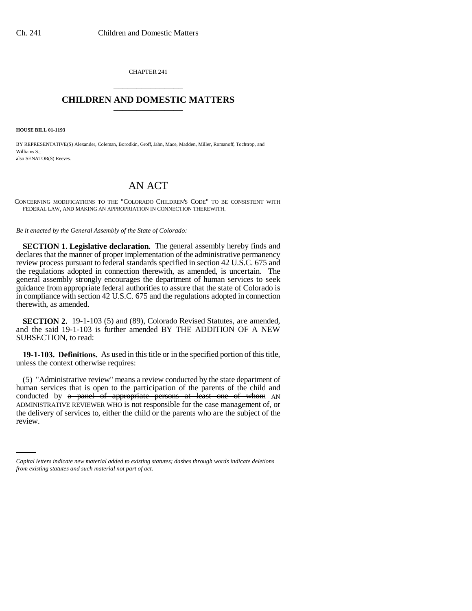CHAPTER 241 \_\_\_\_\_\_\_\_\_\_\_\_\_\_\_

## **CHILDREN AND DOMESTIC MATTERS** \_\_\_\_\_\_\_\_\_\_\_\_\_\_\_

**HOUSE BILL 01-1193**

BY REPRESENTATIVE(S) Alexander, Coleman, Borodkin, Groff, Jahn, Mace, Madden, Miller, Romanoff, Tochtrop, and Williams S.; also SENATOR(S) Reeves.

# AN ACT

CONCERNING MODIFICATIONS TO THE "COLORADO CHILDREN'S CODE" TO BE CONSISTENT WITH FEDERAL LAW, AND MAKING AN APPROPRIATION IN CONNECTION THEREWITH.

*Be it enacted by the General Assembly of the State of Colorado:*

**SECTION 1. Legislative declaration.** The general assembly hereby finds and declares that the manner of proper implementation of the administrative permanency review process pursuant to federal standards specified in section 42 U.S.C. 675 and the regulations adopted in connection therewith, as amended, is uncertain. The general assembly strongly encourages the department of human services to seek guidance from appropriate federal authorities to assure that the state of Colorado is in compliance with section 42 U.S.C. 675 and the regulations adopted in connection therewith, as amended.

**SECTION 2.** 19-1-103 (5) and (89), Colorado Revised Statutes, are amended, and the said 19-1-103 is further amended BY THE ADDITION OF A NEW SUBSECTION, to read:

**19-1-103. Definitions.** As used in this title or in the specified portion of this title, unless the context otherwise requires:

the delivery of services to, either the child or the parents who are the subject of the (5) "Administrative review" means a review conducted by the state department of human services that is open to the participation of the parents of the child and conducted by a panel of appropriate persons at least one of whom AN ADMINISTRATIVE REVIEWER WHO is not responsible for the case management of, or review.

*Capital letters indicate new material added to existing statutes; dashes through words indicate deletions from existing statutes and such material not part of act.*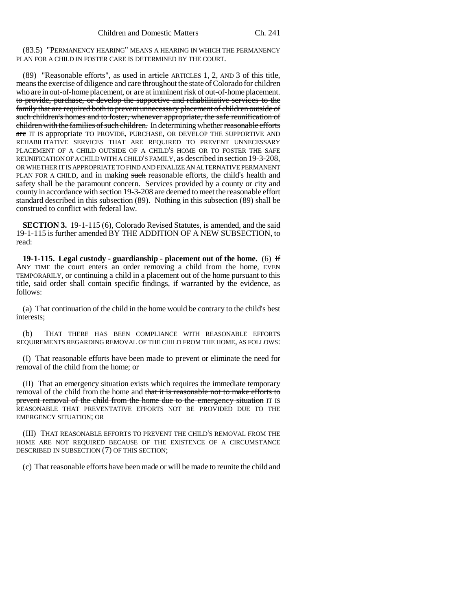(83.5) "PERMANENCY HEARING" MEANS A HEARING IN WHICH THE PERMANENCY PLAN FOR A CHILD IN FOSTER CARE IS DETERMINED BY THE COURT.

(89) "Reasonable efforts", as used in article ARTICLES 1, 2, AND 3 of this title, means the exercise of diligence and care throughout the state of Colorado for children who are in out-of-home placement, or are at imminent risk of out-of-home placement. to provide, purchase, or develop the supportive and rehabilitative services to the family that are required both to prevent unnecessary placement of children outside of such children's homes and to foster, whenever appropriate, the safe reunification of children with the families of such children. In determining whether reasonable efforts are IT IS appropriate TO PROVIDE, PURCHASE, OR DEVELOP THE SUPPORTIVE AND REHABILITATIVE SERVICES THAT ARE REQUIRED TO PREVENT UNNECESSARY PLACEMENT OF A CHILD OUTSIDE OF A CHILD'S HOME OR TO FOSTER THE SAFE REUNIFICATION OF A CHILD WITH A CHILD'S FAMILY, as described in section 19-3-208, OR WHETHER IT IS APPROPRIATE TO FIND AND FINALIZE AN ALTERNATIVE PERMANENT PLAN FOR A CHILD, and in making such reasonable efforts, the child's health and safety shall be the paramount concern. Services provided by a county or city and county in accordance with section 19-3-208 are deemed to meet the reasonable effort standard described in this subsection (89). Nothing in this subsection (89) shall be construed to conflict with federal law.

**SECTION 3.** 19-1-115 (6), Colorado Revised Statutes, is amended, and the said 19-1-115 is further amended BY THE ADDITION OF A NEW SUBSECTION, to read:

**19-1-115. Legal custody - guardianship - placement out of the home.** (6) If ANY TIME the court enters an order removing a child from the home, EVEN TEMPORARILY, or continuing a child in a placement out of the home pursuant to this title, said order shall contain specific findings, if warranted by the evidence, as follows:

(a) That continuation of the child in the home would be contrary to the child's best interests;

(b) THAT THERE HAS BEEN COMPLIANCE WITH REASONABLE EFFORTS REQUIREMENTS REGARDING REMOVAL OF THE CHILD FROM THE HOME, AS FOLLOWS:

(I) That reasonable efforts have been made to prevent or eliminate the need for removal of the child from the home; or

(II) That an emergency situation exists which requires the immediate temporary removal of the child from the home and that it is reasonable not to make efforts to prevent removal of the child from the home due to the emergency situation IT IS REASONABLE THAT PREVENTATIVE EFFORTS NOT BE PROVIDED DUE TO THE EMERGENCY SITUATION; OR

(III) THAT REASONABLE EFFORTS TO PREVENT THE CHILD'S REMOVAL FROM THE HOME ARE NOT REQUIRED BECAUSE OF THE EXISTENCE OF A CIRCUMSTANCE DESCRIBED IN SUBSECTION (7) OF THIS SECTION;

(c) That reasonable efforts have been made or will be made to reunite the child and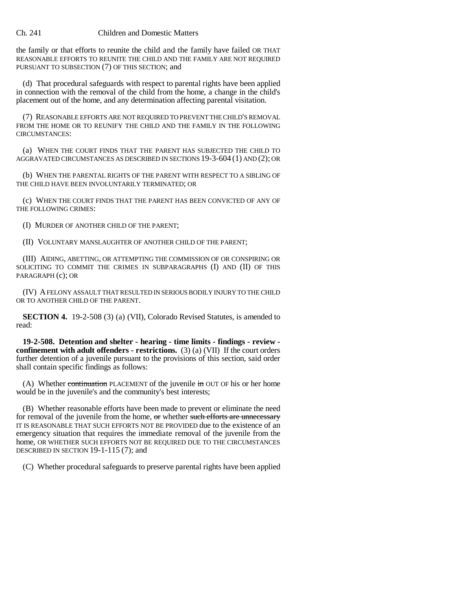the family or that efforts to reunite the child and the family have failed OR THAT REASONABLE EFFORTS TO REUNITE THE CHILD AND THE FAMILY ARE NOT REQUIRED PURSUANT TO SUBSECTION (7) OF THIS SECTION; and

(d) That procedural safeguards with respect to parental rights have been applied in connection with the removal of the child from the home, a change in the child's placement out of the home, and any determination affecting parental visitation.

(7) REASONABLE EFFORTS ARE NOT REQUIRED TO PREVENT THE CHILD'S REMOVAL FROM THE HOME OR TO REUNIFY THE CHILD AND THE FAMILY IN THE FOLLOWING CIRCUMSTANCES:

(a) WHEN THE COURT FINDS THAT THE PARENT HAS SUBJECTED THE CHILD TO AGGRAVATED CIRCUMSTANCES AS DESCRIBED IN SECTIONS 19-3-604 (1) AND (2); OR

(b) WHEN THE PARENTAL RIGHTS OF THE PARENT WITH RESPECT TO A SIBLING OF THE CHILD HAVE BEEN INVOLUNTARILY TERMINATED; OR

(c) WHEN THE COURT FINDS THAT THE PARENT HAS BEEN CONVICTED OF ANY OF THE FOLLOWING CRIMES:

(I) MURDER OF ANOTHER CHILD OF THE PARENT;

(II) VOLUNTARY MANSLAUGHTER OF ANOTHER CHILD OF THE PARENT;

(III) AIDING, ABETTING, OR ATTEMPTING THE COMMISSION OF OR CONSPIRING OR SOLICITING TO COMMIT THE CRIMES IN SUBPARAGRAPHS (I) AND (II) OF THIS PARAGRAPH (c); OR

(IV) A FELONY ASSAULT THAT RESULTED IN SERIOUS BODILY INJURY TO THE CHILD OR TO ANOTHER CHILD OF THE PARENT.

**SECTION 4.** 19-2-508 (3) (a) (VII), Colorado Revised Statutes, is amended to read:

**19-2-508. Detention and shelter - hearing - time limits - findings - review confinement with adult offenders - restrictions.** (3) (a) (VII) If the court orders further detention of a juvenile pursuant to the provisions of this section, said order shall contain specific findings as follows:

(A) Whether continuation PLACEMENT of the juvenile in OUT OF his or her home would be in the juvenile's and the community's best interests;

(B) Whether reasonable efforts have been made to prevent or eliminate the need for removal of the juvenile from the home, or whether such efforts are unnecessary IT IS REASONABLE THAT SUCH EFFORTS NOT BE PROVIDED due to the existence of an emergency situation that requires the immediate removal of the juvenile from the home, OR WHETHER SUCH EFFORTS NOT BE REQUIRED DUE TO THE CIRCUMSTANCES DESCRIBED IN SECTION 19-1-115 (7); and

(C) Whether procedural safeguards to preserve parental rights have been applied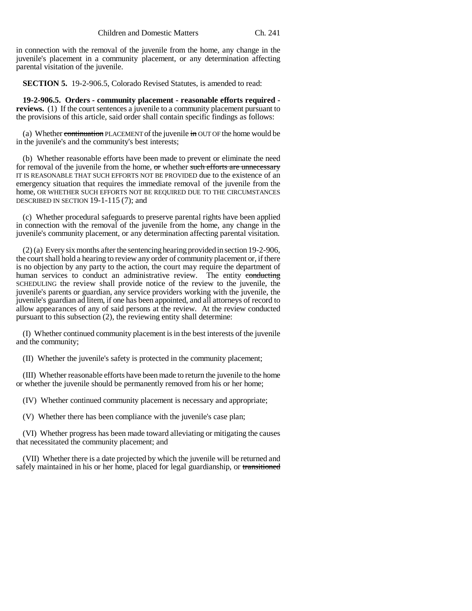in connection with the removal of the juvenile from the home, any change in the juvenile's placement in a community placement, or any determination affecting parental visitation of the juvenile.

**SECTION 5.** 19-2-906.5, Colorado Revised Statutes, is amended to read:

**19-2-906.5. Orders - community placement - reasonable efforts required reviews.** (1) If the court sentences a juvenile to a community placement pursuant to the provisions of this article, said order shall contain specific findings as follows:

(a) Whether continuation PLACEMENT of the juvenile in OUT OF the home would be in the juvenile's and the community's best interests;

(b) Whether reasonable efforts have been made to prevent or eliminate the need for removal of the juvenile from the home, or whether such efforts are unnecessary IT IS REASONABLE THAT SUCH EFFORTS NOT BE PROVIDED due to the existence of an emergency situation that requires the immediate removal of the juvenile from the home, OR WHETHER SUCH EFFORTS NOT BE REQUIRED DUE TO THE CIRCUMSTANCES DESCRIBED IN SECTION 19-1-115 (7); and

(c) Whether procedural safeguards to preserve parental rights have been applied in connection with the removal of the juvenile from the home, any change in the juvenile's community placement, or any determination affecting parental visitation.

(2) (a) Every six months after the sentencing hearing provided in section 19-2-906, the court shall hold a hearing to review any order of community placement or, if there is no objection by any party to the action, the court may require the department of human services to conduct an administrative review. The entity conducting SCHEDULING the review shall provide notice of the review to the juvenile, the juvenile's parents or guardian, any service providers working with the juvenile, the juvenile's guardian ad litem, if one has been appointed, and all attorneys of record to allow appearances of any of said persons at the review. At the review conducted pursuant to this subsection (2), the reviewing entity shall determine:

(I) Whether continued community placement is in the best interests of the juvenile and the community;

(II) Whether the juvenile's safety is protected in the community placement;

(III) Whether reasonable efforts have been made to return the juvenile to the home or whether the juvenile should be permanently removed from his or her home;

(IV) Whether continued community placement is necessary and appropriate;

(V) Whether there has been compliance with the juvenile's case plan;

(VI) Whether progress has been made toward alleviating or mitigating the causes that necessitated the community placement; and

(VII) Whether there is a date projected by which the juvenile will be returned and safely maintained in his or her home, placed for legal guardianship, or transitioned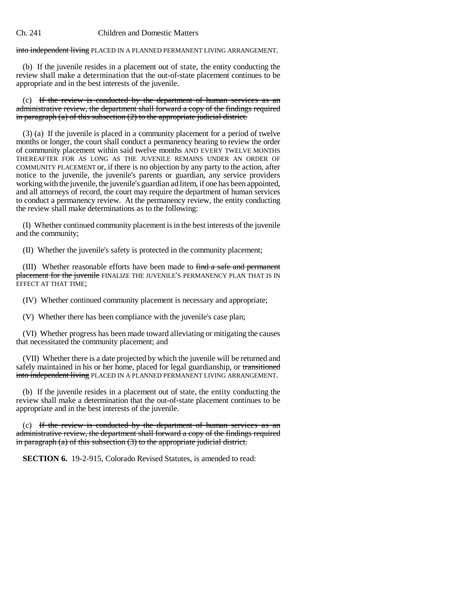into independent living PLACED IN A PLANNED PERMANENT LIVING ARRANGEMENT.

(b) If the juvenile resides in a placement out of state, the entity conducting the review shall make a determination that the out-of-state placement continues to be appropriate and in the best interests of the juvenile.

(c) If the review is conducted by the department of human services as an administrative review, the department shall forward a copy of the findings required in paragraph (a) of this subsection (2) to the appropriate judicial district.

(3) (a) If the juvenile is placed in a community placement for a period of twelve months or longer, the court shall conduct a permanency hearing to review the order of community placement within said twelve months AND EVERY TWELVE MONTHS THEREAFTER FOR AS LONG AS THE JUVENILE REMAINS UNDER AN ORDER OF COMMUNITY PLACEMENT or, if there is no objection by any party to the action, after notice to the juvenile, the juvenile's parents or guardian, any service providers working with the juvenile, the juvenile's guardian ad litem, if one has been appointed, and all attorneys of record, the court may require the department of human services to conduct a permanency review. At the permanency review, the entity conducting the review shall make determinations as to the following:

(I) Whether continued community placement is in the best interests of the juvenile and the community;

(II) Whether the juvenile's safety is protected in the community placement;

(III) Whether reasonable efforts have been made to find a safe and permanent placement for the juvenile FINALIZE THE JUVENILE'S PERMANENCY PLAN THAT IS IN EFFECT AT THAT TIME;

(IV) Whether continued community placement is necessary and appropriate;

(V) Whether there has been compliance with the juvenile's case plan;

(VI) Whether progress has been made toward alleviating or mitigating the causes that necessitated the community placement; and

(VII) Whether there is a date projected by which the juvenile will be returned and safely maintained in his or her home, placed for legal guardianship, or transitioned into independent living PLACED IN A PLANNED PERMANENT LIVING ARRANGEMENT.

(b) If the juvenile resides in a placement out of state, the entity conducting the review shall make a determination that the out-of-state placement continues to be appropriate and in the best interests of the juvenile.

(c) If the review is conducted by the department of human services as an administrative review, the department shall forward a copy of the findings required in paragraph (a) of this subsection (3) to the appropriate judicial district.

**SECTION 6.** 19-2-915, Colorado Revised Statutes, is amended to read: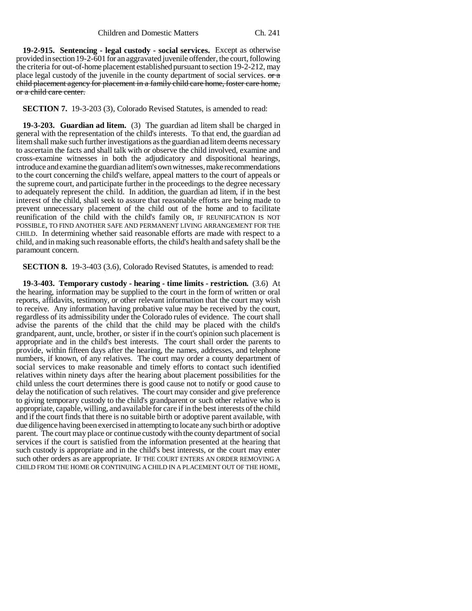**19-2-915. Sentencing - legal custody - social services.** Except as otherwise provided in section 19-2-601 for an aggravated juvenile offender, the court, following the criteria for out-of-home placement established pursuant to section 19-2-212, may place legal custody of the juvenile in the county department of social services. or a child placement agency for placement in a family child care home, foster care home, or a child care center.

**SECTION 7.** 19-3-203 (3), Colorado Revised Statutes, is amended to read:

**19-3-203. Guardian ad litem.** (3) The guardian ad litem shall be charged in general with the representation of the child's interests. To that end, the guardian ad litem shall make such further investigations as the guardian ad litem deems necessary to ascertain the facts and shall talk with or observe the child involved, examine and cross-examine witnesses in both the adjudicatory and dispositional hearings, introduce and examine the guardian ad litem's own witnesses, make recommendations to the court concerning the child's welfare, appeal matters to the court of appeals or the supreme court, and participate further in the proceedings to the degree necessary to adequately represent the child. In addition, the guardian ad litem, if in the best interest of the child, shall seek to assure that reasonable efforts are being made to prevent unnecessary placement of the child out of the home and to facilitate reunification of the child with the child's family OR, IF REUNIFICATION IS NOT POSSIBLE, TO FIND ANOTHER SAFE AND PERMANENT LIVING ARRANGEMENT FOR THE CHILD. In determining whether said reasonable efforts are made with respect to a child, and in making such reasonable efforts, the child's health and safety shall be the paramount concern.

**SECTION 8.** 19-3-403 (3.6), Colorado Revised Statutes, is amended to read:

**19-3-403. Temporary custody - hearing - time limits - restriction.** (3.6) At the hearing, information may be supplied to the court in the form of written or oral reports, affidavits, testimony, or other relevant information that the court may wish to receive. Any information having probative value may be received by the court, regardless of its admissibility under the Colorado rules of evidence. The court shall advise the parents of the child that the child may be placed with the child's grandparent, aunt, uncle, brother, or sister if in the court's opinion such placement is appropriate and in the child's best interests. The court shall order the parents to provide, within fifteen days after the hearing, the names, addresses, and telephone numbers, if known, of any relatives. The court may order a county department of social services to make reasonable and timely efforts to contact such identified relatives within ninety days after the hearing about placement possibilities for the child unless the court determines there is good cause not to notify or good cause to delay the notification of such relatives. The court may consider and give preference to giving temporary custody to the child's grandparent or such other relative who is appropriate, capable, willing, and available for care if in the best interests of the child and if the court finds that there is no suitable birth or adoptive parent available, with due diligence having been exercised in attempting to locate any such birth or adoptive parent. The court may place or continue custody with the county department of social services if the court is satisfied from the information presented at the hearing that such custody is appropriate and in the child's best interests, or the court may enter such other orders as are appropriate. IF THE COURT ENTERS AN ORDER REMOVING A CHILD FROM THE HOME OR CONTINUING A CHILD IN A PLACEMENT OUT OF THE HOME,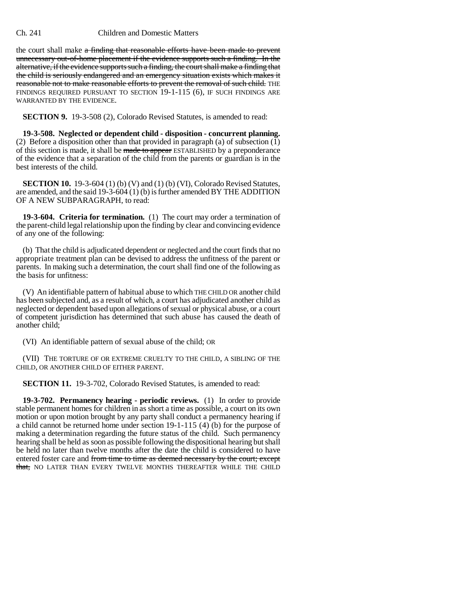the court shall make a finding that reasonable efforts have been made to prevent unnecessary out-of-home placement if the evidence supports such a finding. In the alternative, if the evidence supports such a finding, the court shall make a finding that the child is seriously endangered and an emergency situation exists which makes it reasonable not to make reasonable efforts to prevent the removal of such child. THE FINDINGS REQUIRED PURSUANT TO SECTION 19-1-115 (6), IF SUCH FINDINGS ARE WARRANTED BY THE EVIDENCE.

**SECTION 9.** 19-3-508 (2), Colorado Revised Statutes, is amended to read:

**19-3-508. Neglected or dependent child - disposition - concurrent planning.** (2) Before a disposition other than that provided in paragraph (a) of subsection  $(1)$ of this section is made, it shall be made to appear ESTABLISHED by a preponderance of the evidence that a separation of the child from the parents or guardian is in the best interests of the child.

**SECTION 10.** 19-3-604 (1) (b) (V) and (1) (b) (VI), Colorado Revised Statutes, are amended, and the said 19-3-604 (1) (b) is further amended BY THE ADDITION OF A NEW SUBPARAGRAPH, to read:

**19-3-604. Criteria for termination.** (1) The court may order a termination of the parent-child legal relationship upon the finding by clear and convincing evidence of any one of the following:

(b) That the child is adjudicated dependent or neglected and the court finds that no appropriate treatment plan can be devised to address the unfitness of the parent or parents. In making such a determination, the court shall find one of the following as the basis for unfitness:

(V) An identifiable pattern of habitual abuse to which THE CHILD OR another child has been subjected and, as a result of which, a court has adjudicated another child as neglected or dependent based upon allegations of sexual or physical abuse, or a court of competent jurisdiction has determined that such abuse has caused the death of another child;

(VI) An identifiable pattern of sexual abuse of the child; OR

(VII) THE TORTURE OF OR EXTREME CRUELTY TO THE CHILD, A SIBLING OF THE CHILD, OR ANOTHER CHILD OF EITHER PARENT.

**SECTION 11.** 19-3-702, Colorado Revised Statutes, is amended to read:

**19-3-702. Permanency hearing - periodic reviews.** (1) In order to provide stable permanent homes for children in as short a time as possible, a court on its own motion or upon motion brought by any party shall conduct a permanency hearing if a child cannot be returned home under section 19-1-115 (4) (b) for the purpose of making a determination regarding the future status of the child. Such permanency hearing shall be held as soon as possible following the dispositional hearing but shall be held no later than twelve months after the date the child is considered to have entered foster care and from time to time as deemed necessary by the court; except that, NO LATER THAN EVERY TWELVE MONTHS THEREAFTER WHILE THE CHILD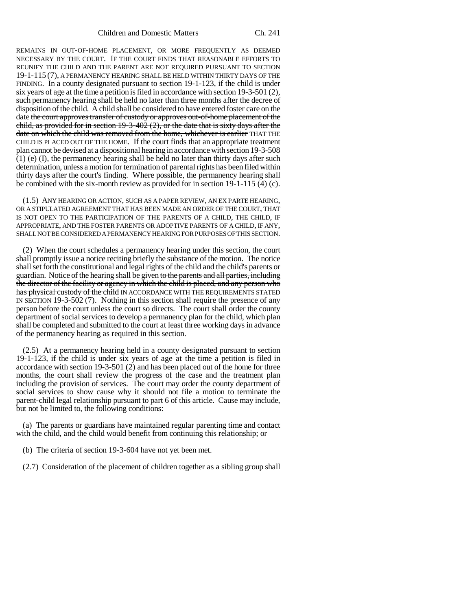REMAINS IN OUT-OF-HOME PLACEMENT, OR MORE FREQUENTLY AS DEEMED NECESSARY BY THE COURT. IF THE COURT FINDS THAT REASONABLE EFFORTS TO REUNIFY THE CHILD AND THE PARENT ARE NOT REQUIRED PURSUANT TO SECTION 19-1-115 (7), A PERMANENCY HEARING SHALL BE HELD WITHIN THIRTY DAYS OF THE FINDING. In a county designated pursuant to section 19-1-123, if the child is under six years of age at the time a petition is filed in accordance with section 19-3-501 (2), such permanency hearing shall be held no later than three months after the decree of disposition of the child. A child shall be considered to have entered foster care on the date the court approves transfer of custody or approves out-of-home placement of the child, as provided for in section  $19-3-402(2)$ , or the date that is sixty days after the date on which the child was removed from the home, whichever is earlier THAT THE CHILD IS PLACED OUT OF THE HOME. If the court finds that an appropriate treatment plan cannot be devised at a dispositional hearing in accordance with section 19-3-508 (1) (e) (I), the permanency hearing shall be held no later than thirty days after such determination, unless a motion for termination of parental rights has been filed within thirty days after the court's finding. Where possible, the permanency hearing shall be combined with the six-month review as provided for in section 19-1-115 (4) (c).

(1.5) ANY HEARING OR ACTION, SUCH AS A PAPER REVIEW, AN EX PARTE HEARING, OR A STIPULATED AGREEMENT THAT HAS BEEN MADE AN ORDER OF THE COURT, THAT IS NOT OPEN TO THE PARTICIPATION OF THE PARENTS OF A CHILD, THE CHILD, IF APPROPRIATE, AND THE FOSTER PARENTS OR ADOPTIVE PARENTS OF A CHILD, IF ANY, SHALL NOT BE CONSIDERED A PERMANENCY HEARING FOR PURPOSES OF THIS SECTION.

(2) When the court schedules a permanency hearing under this section, the court shall promptly issue a notice reciting briefly the substance of the motion. The notice shall set forth the constitutional and legal rights of the child and the child's parents or guardian. Notice of the hearing shall be given to the parents and all parties, including the director of the facility or agency in which the child is placed, and any person who has physical custody of the child IN ACCORDANCE WITH THE REQUIREMENTS STATED IN SECTION 19-3-502 (7). Nothing in this section shall require the presence of any person before the court unless the court so directs. The court shall order the county department of social services to develop a permanency plan for the child, which plan shall be completed and submitted to the court at least three working days in advance of the permanency hearing as required in this section.

(2.5) At a permanency hearing held in a county designated pursuant to section 19-1-123, if the child is under six years of age at the time a petition is filed in accordance with section 19-3-501 (2) and has been placed out of the home for three months, the court shall review the progress of the case and the treatment plan including the provision of services. The court may order the county department of social services to show cause why it should not file a motion to terminate the parent-child legal relationship pursuant to part 6 of this article. Cause may include, but not be limited to, the following conditions:

(a) The parents or guardians have maintained regular parenting time and contact with the child, and the child would benefit from continuing this relationship; or

(b) The criteria of section 19-3-604 have not yet been met.

(2.7) Consideration of the placement of children together as a sibling group shall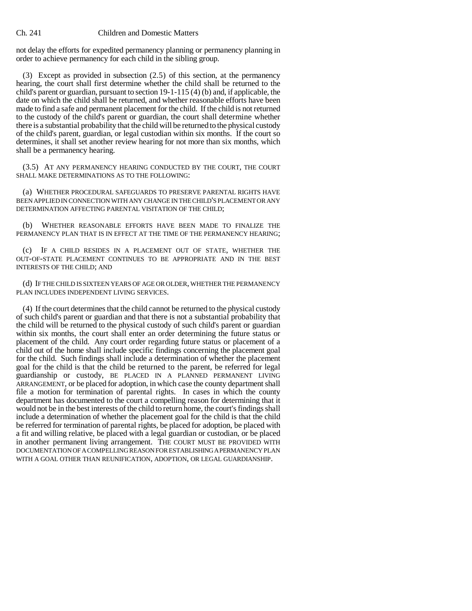not delay the efforts for expedited permanency planning or permanency planning in order to achieve permanency for each child in the sibling group.

(3) Except as provided in subsection (2.5) of this section, at the permanency hearing, the court shall first determine whether the child shall be returned to the child's parent or guardian, pursuant to section 19-1-115 (4) (b) and, if applicable, the date on which the child shall be returned, and whether reasonable efforts have been made to find a safe and permanent placement for the child. If the child is not returned to the custody of the child's parent or guardian, the court shall determine whether there is a substantial probability that the child will be returned to the physical custody of the child's parent, guardian, or legal custodian within six months. If the court so determines, it shall set another review hearing for not more than six months, which shall be a permanency hearing.

(3.5) AT ANY PERMANENCY HEARING CONDUCTED BY THE COURT, THE COURT SHALL MAKE DETERMINATIONS AS TO THE FOLLOWING:

(a) WHETHER PROCEDURAL SAFEGUARDS TO PRESERVE PARENTAL RIGHTS HAVE BEEN APPLIED IN CONNECTION WITH ANY CHANGE IN THE CHILD'S PLACEMENT OR ANY DETERMINATION AFFECTING PARENTAL VISITATION OF THE CHILD;

(b) WHETHER REASONABLE EFFORTS HAVE BEEN MADE TO FINALIZE THE PERMANENCY PLAN THAT IS IN EFFECT AT THE TIME OF THE PERMANENCY HEARING;

(c) IF A CHILD RESIDES IN A PLACEMENT OUT OF STATE, WHETHER THE OUT-OF-STATE PLACEMENT CONTINUES TO BE APPROPRIATE AND IN THE BEST INTERESTS OF THE CHILD; AND

(d) IF THE CHILD IS SIXTEEN YEARS OF AGE OR OLDER, WHETHER THE PERMANENCY PLAN INCLUDES INDEPENDENT LIVING SERVICES.

(4) If the court determines that the child cannot be returned to the physical custody of such child's parent or guardian and that there is not a substantial probability that the child will be returned to the physical custody of such child's parent or guardian within six months, the court shall enter an order determining the future status or placement of the child. Any court order regarding future status or placement of a child out of the home shall include specific findings concerning the placement goal for the child. Such findings shall include a determination of whether the placement goal for the child is that the child be returned to the parent, be referred for legal guardianship or custody, BE PLACED IN A PLANNED PERMANENT LIVING ARRANGEMENT, or be placed for adoption, in which case the county department shall file a motion for termination of parental rights. In cases in which the county department has documented to the court a compelling reason for determining that it would not be in the best interests of the child to return home, the court's findings shall include a determination of whether the placement goal for the child is that the child be referred for termination of parental rights, be placed for adoption, be placed with a fit and willing relative, be placed with a legal guardian or custodian, or be placed in another permanent living arrangement. THE COURT MUST BE PROVIDED WITH DOCUMENTATION OF A COMPELLING REASON FOR ESTABLISHING A PERMANENCY PLAN WITH A GOAL OTHER THAN REUNIFICATION, ADOPTION, OR LEGAL GUARDIANSHIP.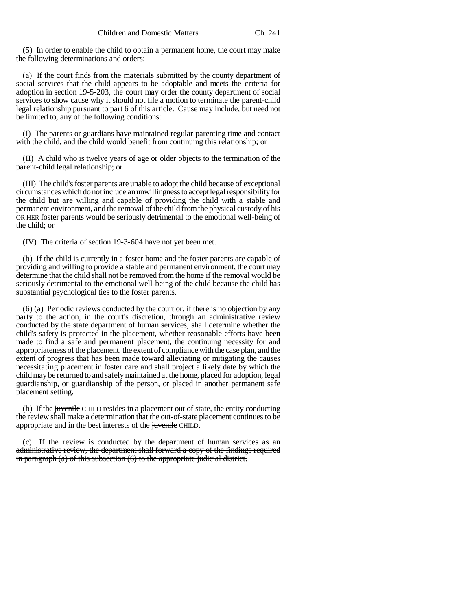(5) In order to enable the child to obtain a permanent home, the court may make the following determinations and orders:

(a) If the court finds from the materials submitted by the county department of social services that the child appears to be adoptable and meets the criteria for adoption in section 19-5-203, the court may order the county department of social services to show cause why it should not file a motion to terminate the parent-child legal relationship pursuant to part 6 of this article. Cause may include, but need not be limited to, any of the following conditions:

(I) The parents or guardians have maintained regular parenting time and contact with the child, and the child would benefit from continuing this relationship; or

(II) A child who is twelve years of age or older objects to the termination of the parent-child legal relationship; or

(III) The child's foster parents are unable to adopt the child because of exceptional circumstances which do not include an unwillingness to accept legal responsibility for the child but are willing and capable of providing the child with a stable and permanent environment, and the removal of the child from the physical custody of his OR HER foster parents would be seriously detrimental to the emotional well-being of the child; or

(IV) The criteria of section 19-3-604 have not yet been met.

(b) If the child is currently in a foster home and the foster parents are capable of providing and willing to provide a stable and permanent environment, the court may determine that the child shall not be removed from the home if the removal would be seriously detrimental to the emotional well-being of the child because the child has substantial psychological ties to the foster parents.

(6) (a) Periodic reviews conducted by the court or, if there is no objection by any party to the action, in the court's discretion, through an administrative review conducted by the state department of human services, shall determine whether the child's safety is protected in the placement, whether reasonable efforts have been made to find a safe and permanent placement, the continuing necessity for and appropriateness of the placement, the extent of compliance with the case plan, and the extent of progress that has been made toward alleviating or mitigating the causes necessitating placement in foster care and shall project a likely date by which the child may be returned to and safely maintained at the home, placed for adoption, legal guardianship, or guardianship of the person, or placed in another permanent safe placement setting.

(b) If the juvenile CHILD resides in a placement out of state, the entity conducting the review shall make a determination that the out-of-state placement continues to be appropriate and in the best interests of the *juvenile* CHILD.

(c) If the review is conducted by the department of human services as an administrative review, the department shall forward a copy of the findings required in paragraph (a) of this subsection (6) to the appropriate judicial district.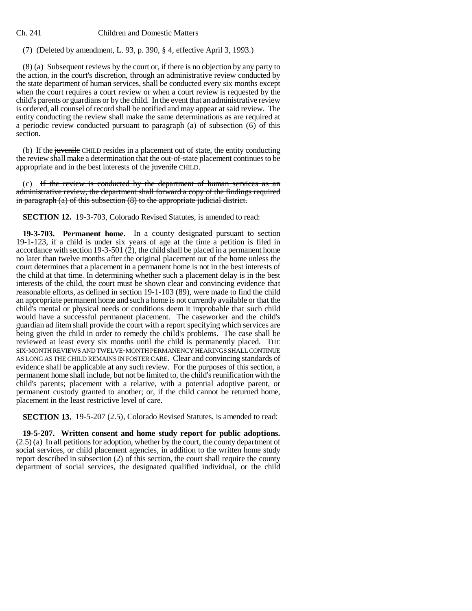### (7) (Deleted by amendment, L. 93, p. 390, § 4, effective April 3, 1993.)

(8) (a) Subsequent reviews by the court or, if there is no objection by any party to the action, in the court's discretion, through an administrative review conducted by the state department of human services, shall be conducted every six months except when the court requires a court review or when a court review is requested by the child's parents or guardians or by the child. In the event that an administrative review is ordered, all counsel of record shall be notified and may appear at said review. The entity conducting the review shall make the same determinations as are required at a periodic review conducted pursuant to paragraph (a) of subsection  $(6)$  of this section.

(b) If the juvenile CHILD resides in a placement out of state, the entity conducting the review shall make a determination that the out-of-state placement continues to be appropriate and in the best interests of the juvenile CHILD.

(c) If the review is conducted by the department of human services as an administrative review, the department shall forward a copy of the findings required in paragraph (a) of this subsection (8) to the appropriate judicial district.

**SECTION 12.** 19-3-703, Colorado Revised Statutes, is amended to read:

**19-3-703. Permanent home.** In a county designated pursuant to section 19-1-123, if a child is under six years of age at the time a petition is filed in accordance with section 19-3-501 (2), the child shall be placed in a permanent home no later than twelve months after the original placement out of the home unless the court determines that a placement in a permanent home is not in the best interests of the child at that time. In determining whether such a placement delay is in the best interests of the child, the court must be shown clear and convincing evidence that reasonable efforts, as defined in section 19-1-103 (89), were made to find the child an appropriate permanent home and such a home is not currently available or that the child's mental or physical needs or conditions deem it improbable that such child would have a successful permanent placement. The caseworker and the child's guardian ad litem shall provide the court with a report specifying which services are being given the child in order to remedy the child's problems. The case shall be reviewed at least every six months until the child is permanently placed. THE SIX-MONTH REVIEWS AND TWELVE-MONTH PERMANENCY HEARINGS SHALL CONTINUE AS LONG AS THE CHILD REMAINS IN FOSTER CARE. Clear and convincing standards of evidence shall be applicable at any such review. For the purposes of this section, a permanent home shall include, but not be limited to, the child's reunification with the child's parents; placement with a relative, with a potential adoptive parent, or permanent custody granted to another; or, if the child cannot be returned home, placement in the least restrictive level of care.

**SECTION 13.** 19-5-207 (2.5), Colorado Revised Statutes, is amended to read:

**19-5-207. Written consent and home study report for public adoptions.** (2.5) (a) In all petitions for adoption, whether by the court, the county department of social services, or child placement agencies, in addition to the written home study report described in subsection (2) of this section, the court shall require the county department of social services, the designated qualified individual, or the child